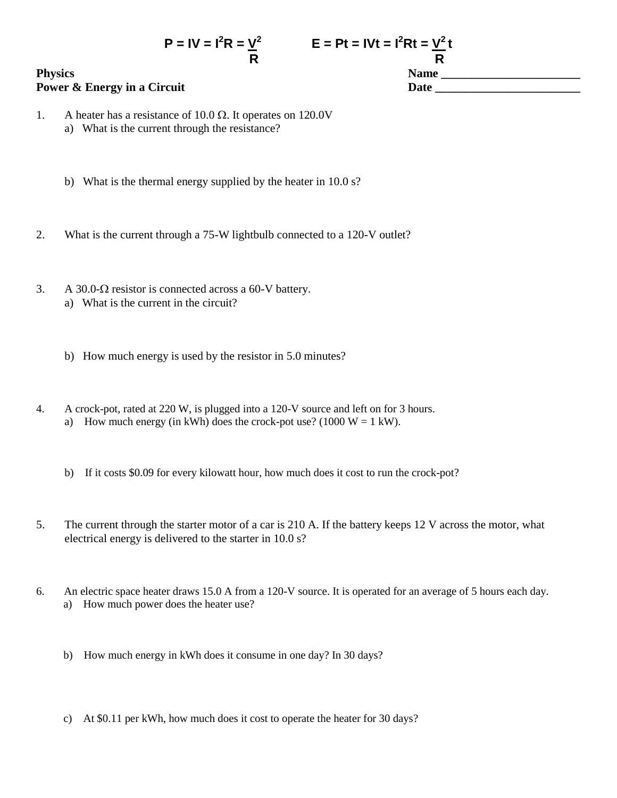## **Physics Name \_\_\_\_\_\_\_\_\_\_\_\_\_\_\_\_\_\_\_\_\_\_\_ Power & Energy in a Circuit Date League 2 and 2 and 2 and 2 and 2 and 2 and 2 and 2 and 2 and 2 and 2 and 2 and 2 and 2 and 2 and 2 and 2 and 2 and 2 and 2 and 2 and 2 and 2 and 2 and 2 and 2 and 2 and 2 and 2 and 2 and**

**R R**

- 1. A heater has a resistance of 10.0  $\Omega$ . It operates on 120.0V a) What is the current through the resistance?
	- b) What is the thermal energy supplied by the heater in 10.0 s?
- 2. What is the current through a 75-W lightbulb connected to a 120-V outlet?
- 3. A 30.0- $\Omega$  resistor is connected across a 60-V battery.
	- a) What is the current in the circuit?
	- b) How much energy is used by the resistor in 5.0 minutes?
- 4. A crock-pot, rated at 220 W, is plugged into a 120-V source and left on for 3 hours. a) How much energy (in kWh) does the crock-pot use? (1000  $W = 1$  kW).
	- b) If it costs \$0.09 for every kilowatt hour, how much does it cost to run the crock-pot?
- 5. The current through the starter motor of a car is 210 A. If the battery keeps 12 V across the motor, what electrical energy is delivered to the starter in 10.0 s?
- 6. An electric space heater draws 15.0 A from a 120-V source. It is operated for an average of 5 hours each day. a) How much power does the heater use?
	- b) How much energy in kWh does it consume in one day? In 30 days?
	- c) At \$0.11 per kWh, how much does it cost to operate the heater for 30 days?